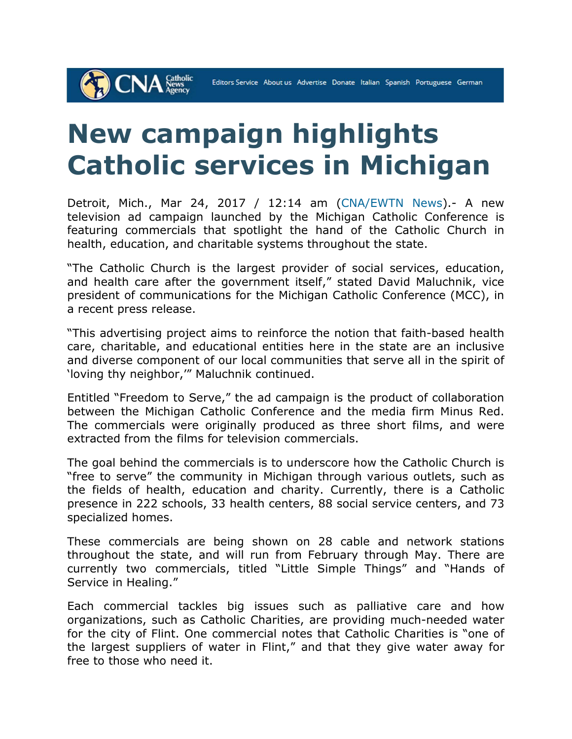## **New campaign highlights Catholic services in Michigan**

**CNA** Stews

Detroit, Mich., Mar 24, 2017 / 12:14 am (CNA/EWTN News).- A new television ad campaign launched by the Michigan Catholic Conference is featuring commercials that spotlight the hand of the Catholic Church in health, education, and charitable systems throughout the state.

"The Catholic Church is the largest provider of social services, education, and health care after the government itself," stated David Maluchnik, vice president of communications for the Michigan Catholic Conference (MCC), in a recent press release.

"This advertising project aims to reinforce the notion that faith-based health care, charitable, and educational entities here in the state are an inclusive and diverse component of our local communities that serve all in the spirit of 'loving thy neighbor,'" Maluchnik continued.

Entitled "Freedom to Serve," the ad campaign is the product of collaboration between the Michigan Catholic Conference and the media firm Minus Red. The commercials were originally produced as three short films, and were extracted from the films for television commercials.

The goal behind the commercials is to underscore how the Catholic Church is "free to serve" the community in Michigan through various outlets, such as the fields of health, education and charity. Currently, there is a Catholic presence in 222 schools, 33 health centers, 88 social service centers, and 73 specialized homes.

These commercials are being shown on 28 cable and network stations throughout the state, and will run from February through May. There are currently two commercials, titled "Little Simple Things" and "Hands of Service in Healing."

Each commercial tackles big issues such as palliative care and how organizations, such as Catholic Charities, are providing much-needed water for the city of Flint. One commercial notes that Catholic Charities is "one of the largest suppliers of water in Flint," and that they give water away for free to those who need it.